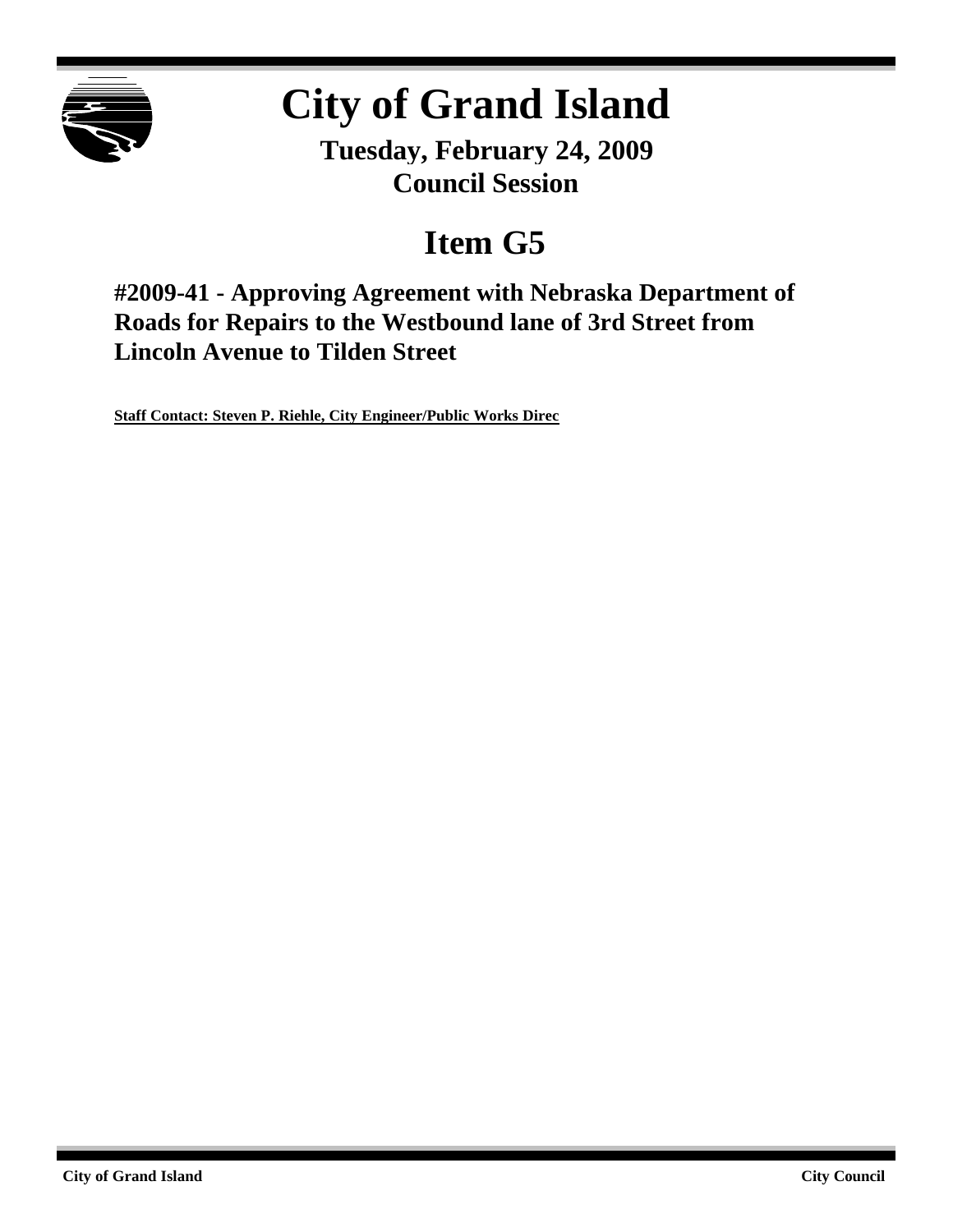

## **City of Grand Island**

**Tuesday, February 24, 2009 Council Session**

## **Item G5**

**#2009-41 - Approving Agreement with Nebraska Department of Roads for Repairs to the Westbound lane of 3rd Street from Lincoln Avenue to Tilden Street**

**Staff Contact: Steven P. Riehle, City Engineer/Public Works Direc**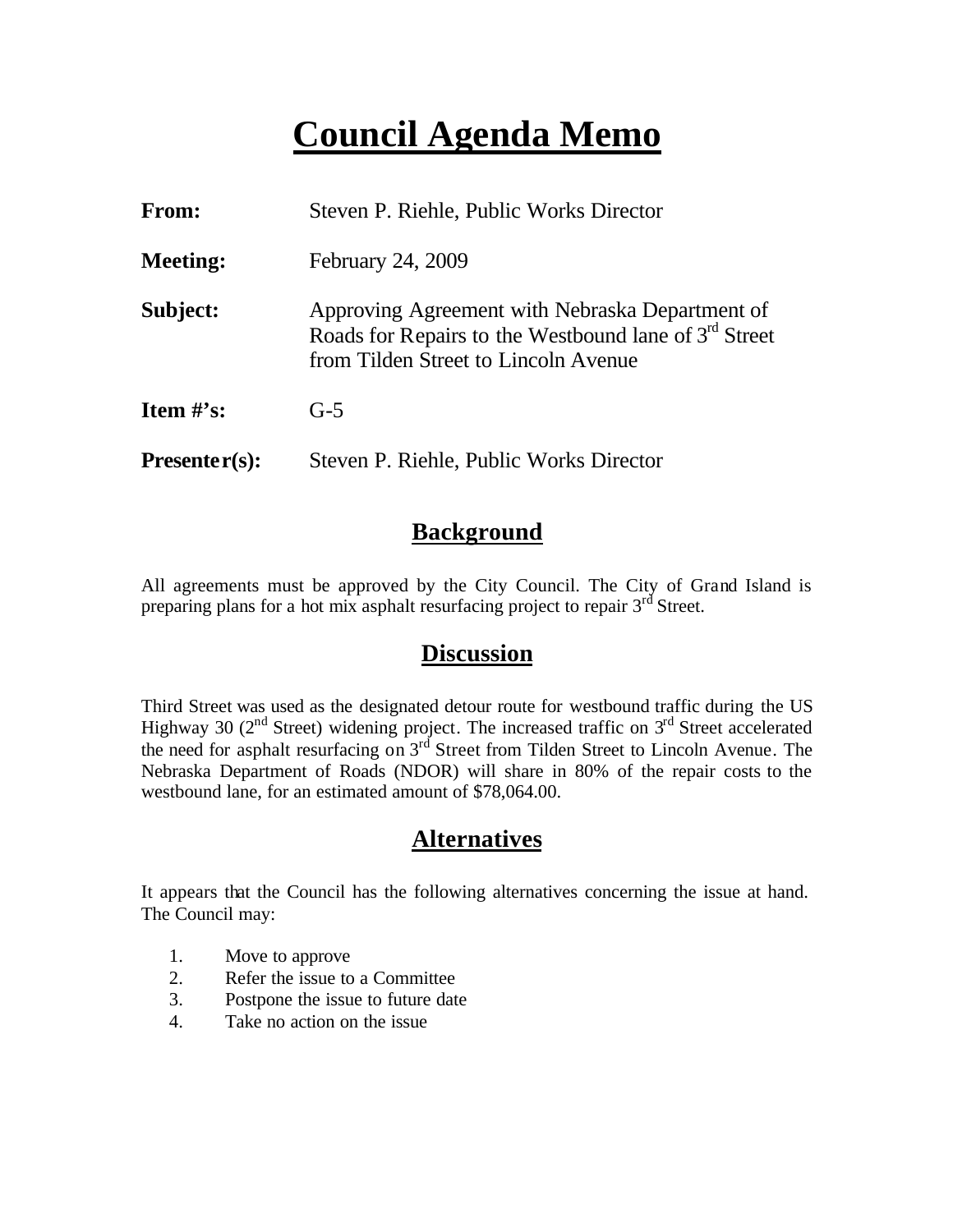### **Council Agenda Memo**

| <b>From:</b>    | Steven P. Riehle, Public Works Director                                                                                                            |  |  |  |
|-----------------|----------------------------------------------------------------------------------------------------------------------------------------------------|--|--|--|
| <b>Meeting:</b> | February 24, 2009                                                                                                                                  |  |  |  |
| Subject:        | Approving Agreement with Nebraska Department of<br>Roads for Repairs to the Westbound lane of $3rd$ Street<br>from Tilden Street to Lincoln Avenue |  |  |  |
| Item $#$ 's:    | $G-5$                                                                                                                                              |  |  |  |
| $Presenter(s):$ | Steven P. Riehle, Public Works Director                                                                                                            |  |  |  |

#### **Background**

All agreements must be approved by the City Council. The City of Grand Island is preparing plans for a hot mix asphalt resurfacing project to repair 3<sup>rd</sup> Street.

#### **Discussion**

Third Street was used as the designated detour route for westbound traffic during the US Highway 30 ( $2<sup>nd</sup>$  Street) widening project. The increased traffic on  $3<sup>rd</sup>$  Street accelerated the need for asphalt resurfacing on 3<sup>rd</sup> Street from Tilden Street to Lincoln Avenue. The Nebraska Department of Roads (NDOR) will share in 80% of the repair costs to the westbound lane, for an estimated amount of \$78,064.00.

#### **Alternatives**

It appears that the Council has the following alternatives concerning the issue at hand. The Council may:

- 1. Move to approve
- 2. Refer the issue to a Committee
- 3. Postpone the issue to future date
- 4. Take no action on the issue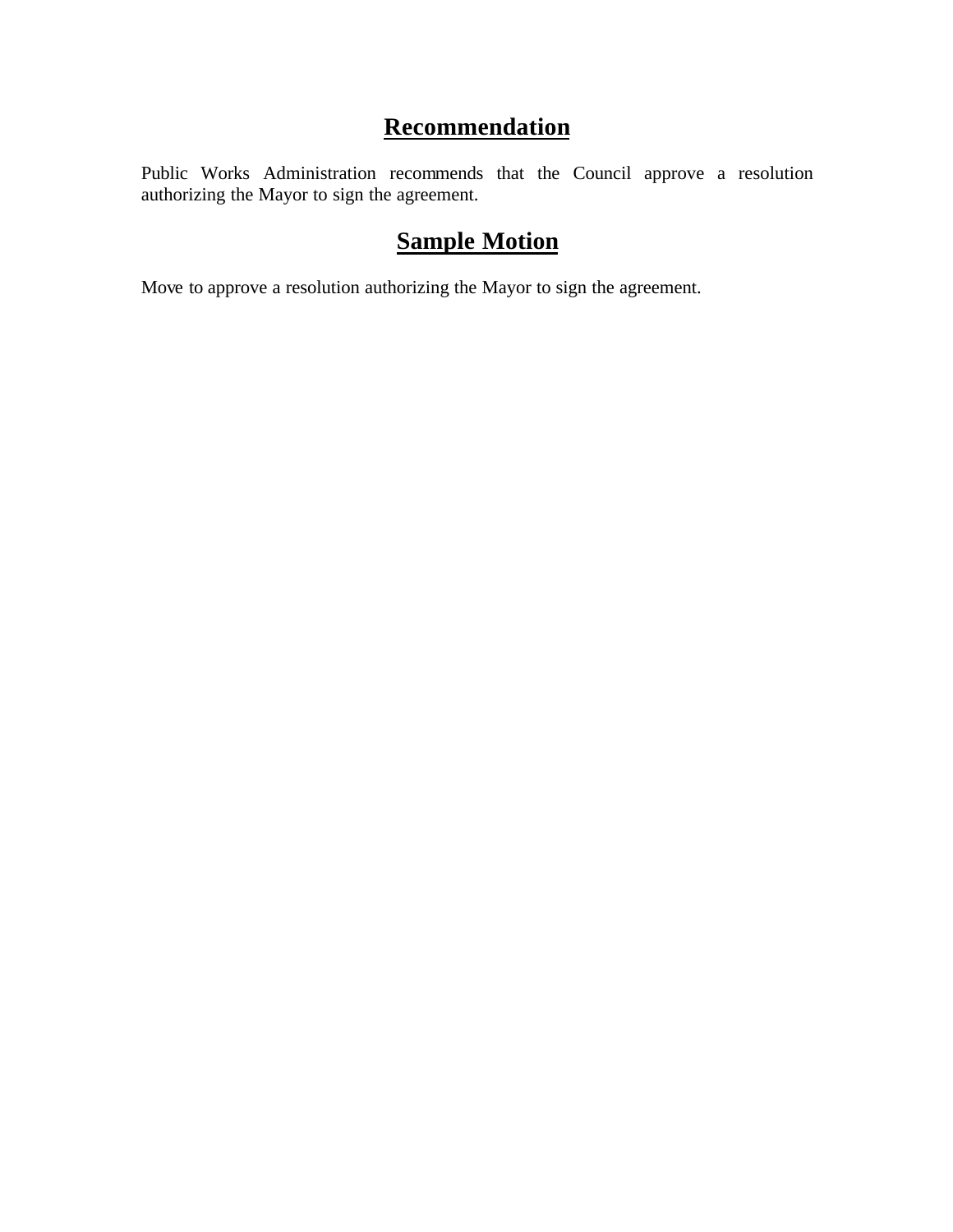#### **Recommendation**

Public Works Administration recommends that the Council approve a resolution authorizing the Mayor to sign the agreement.

#### **Sample Motion**

Move to approve a resolution authorizing the Mayor to sign the agreement.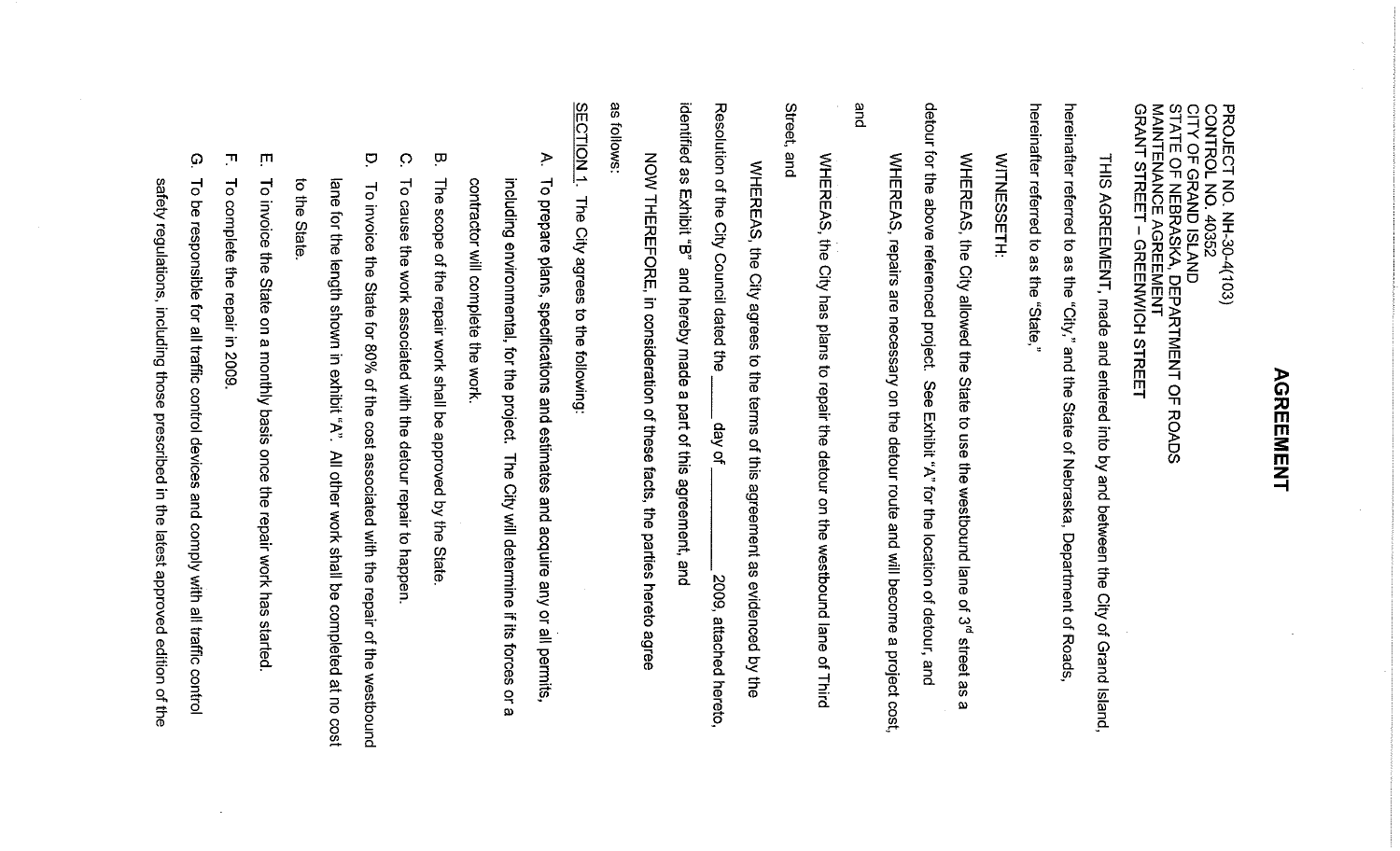# **AGREEMENT**

PROJECT NO. NH-30-4(103)<br>CONTROL NO. 40352<br>CITY OF GRAND ISLAND<br>STATE OF NEBRASKA, DEPARTMENT OF R<br>MAINTENANCE AGREEMENT<br>MAINT STREET – GREENWICH STREET **ROADS** 

THIS AGREENENT, made and entered into by and between the City of Grand Island,

hereinafter referred to as the hereinafter referred to as the "City," and the State of Nebraska, Department of Roads i "State,

**WITNESSETH:** 

WHERAS, the City allowed the State to use the westbound lane of 3<sup>rd</sup> street as  $\pmb{\omega}$ 

detour for the above referenced project. See Exhibit "A" for the location of detour, and

and WHEREAS, repairs are necessary on the detour route and will become a project cost,

Street, end, WHEREAS, the City has plans to repair the detour on the westbound lane  $\overline{\sigma}$ Third

identified as Resolution of the City WHEREAS, the City agrees to the terms of this agreement as evidenced by the Exhibit "B" Council dated the and hereby made a part of this agreement, and jo veb 2009, attached hereto.

gδ tollows: NOW THEREFORE, in consideration of these facts, the parties hereto agree

SECTION<sub>1</sub> The City agrees to the following:

- $\triangleright$  $\vec{\sigma}$ contractor will complete the work. including environmental, for the project. The City will determine if its forces prepare plans, specifications and estimates and acquire any or all permits,  $\mathbf{a}$ Ö
- $\overline{\mathbf{u}}$  $\frac{1}{5}$ edoos of the repair work shall be approved by the State
- $\circ$ 닝 cause the work associated with the detour repair to happen
- $\overline{C}$ ane  $\overline{\sigma}$ To invoice the State for 80% of the cost associated with the repair of the westbound  $\frac{1}{5}$ for the length shown in exhibit "A". State All other work shall be completed at no cost
- $\blacksquare$  $\overline{\circ}$ invoice the State on a monthly basis once the repair work has started
- $\blacksquare$ To complete the repair in 2009
- G)  $\overline{\circ}$  $\bar{g}$ responsible for all traffic control devices and comply with all traffic control

safety regulations, including those prescribed in the latest approved edition of the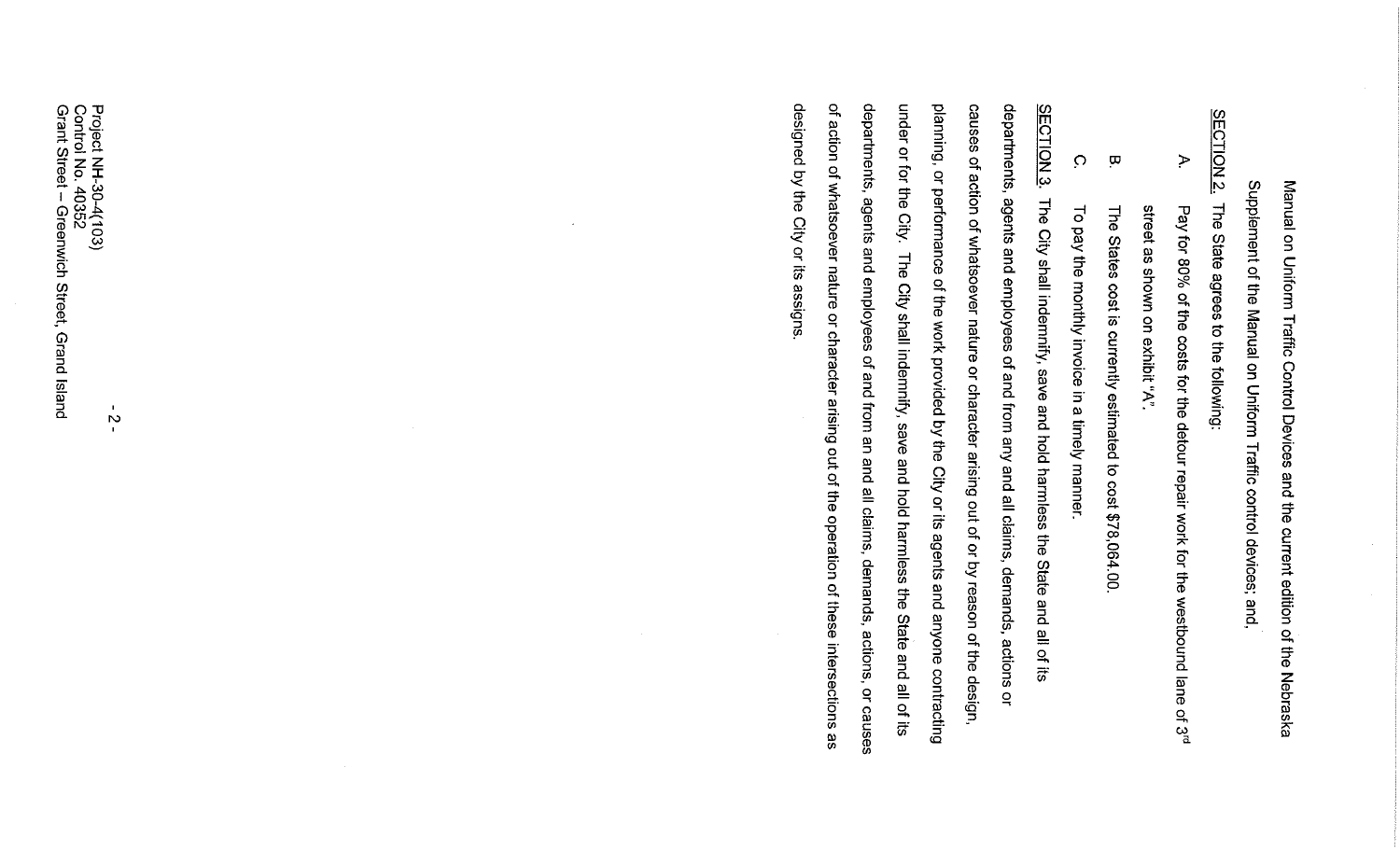Manual on Uniform Traffic Control Devices and the current edition of the Nebraska Supplement of the Manual on Uniform Traffic control devices; and,

SECTION<sub>2</sub> The State agrees to the following:

- $\geq$ street as shown on exhibit "A" Pay for 80% of the costs for the detour repair work for the westbound lane of 3<sup>d</sup>
- $\overline{\mathbf{u}}$ The States cost is currently estimated to cost \$78,064.00
- $\circ$ To pay the monthly invoice in a timely manner.

designed by the City or its assigns of action of whatsoever nature or character arising out of the operation of these intersections as departments, agents and employees of and from an and all claims, demands, actions, or causes under or for the City. The City shall indemnity, save and hold harmless the State and all of its planning, or performance of the work provided by the City or its agents and anyone contracting causes of action of whatsoever nature or character arising out of or by reason of the design, departments, agents and employees of and from any and all claims, demands, actions or **SECTION 3.** The City shall indemnity, save and hold harmless the State and all of its

 $\frac{N}{L}$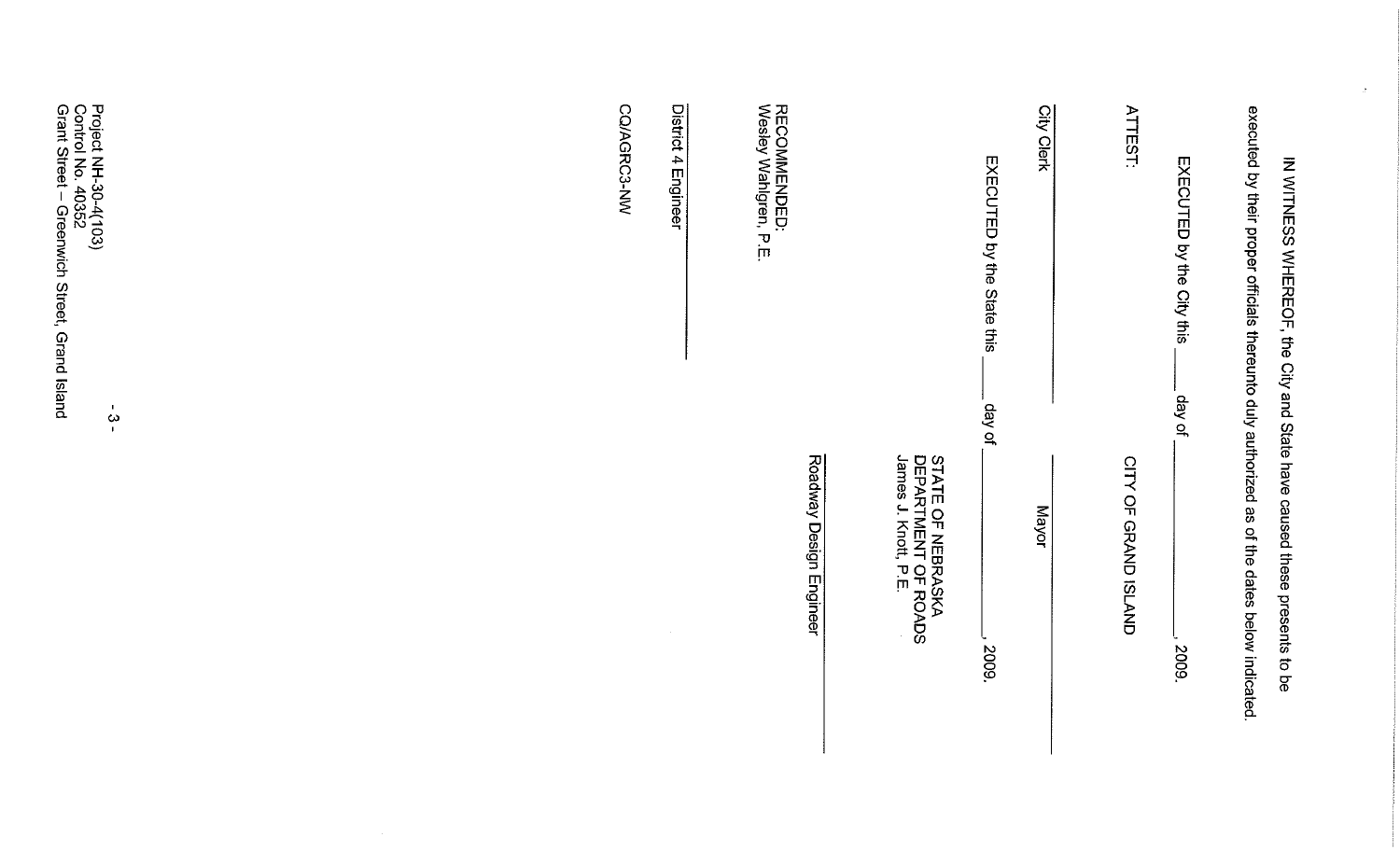| Project NH-30-4(103)<br>Control No. 40352<br>Grant Street – Greenwich Street, Grand Island<br>$\mathbf{u}$<br>$\boldsymbol{\omega}$<br>$\mathbf{L}$ | CO/AGRC3-NW | District 4 Engineer | RECOMMENDED:<br>Wesley Wahlgren, P.E. |                                                                  | EXECUTED by the State this<br>day of | City Clerk | <b>ATTEST</b>               | EXECUTED by the City this<br>day of | executed by their proper officials thereunto duly authorized as of the dates below indicated.<br>IN WITNESS WHEREOF, the City and State have caused these presents to be |
|-----------------------------------------------------------------------------------------------------------------------------------------------------|-------------|---------------------|---------------------------------------|------------------------------------------------------------------|--------------------------------------|------------|-----------------------------|-------------------------------------|--------------------------------------------------------------------------------------------------------------------------------------------------------------------------|
|                                                                                                                                                     |             |                     | Roadway Design Engineer               | STATE OF NEBRASKA<br>DEPARTMENT OF ROADS<br>James J. Knott, P.E. | 2009.                                | Mayor      | <b>CITY OF GRAND ISLAND</b> | 2009.                               |                                                                                                                                                                          |

 $\mathcal{A}^{\mathcal{C}}$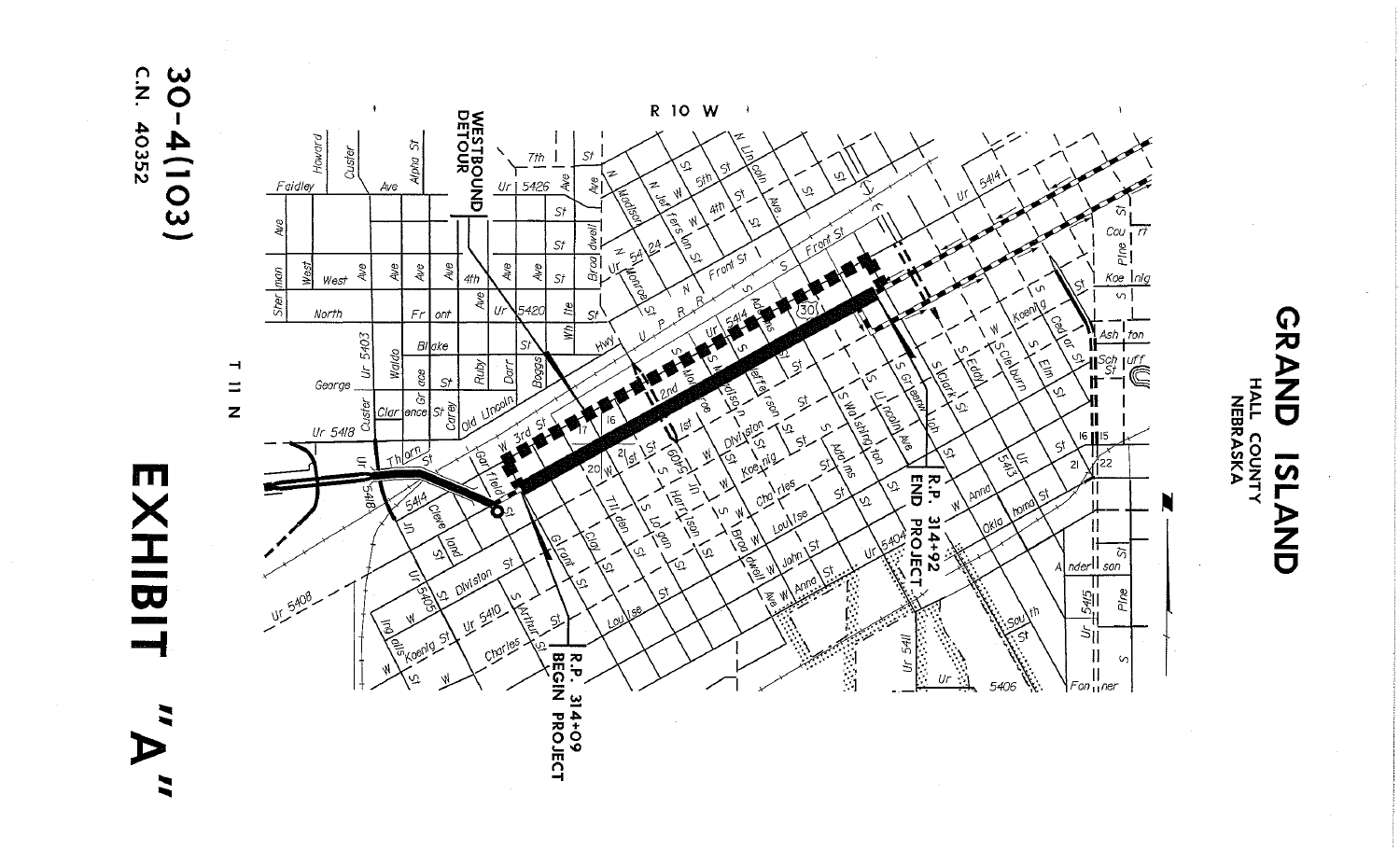

 $\mathop{?}\limits^\Omega$  $\infty$ 40352  $4(103)$ 



**GRAND** HALL COUNTY **7ST** AND